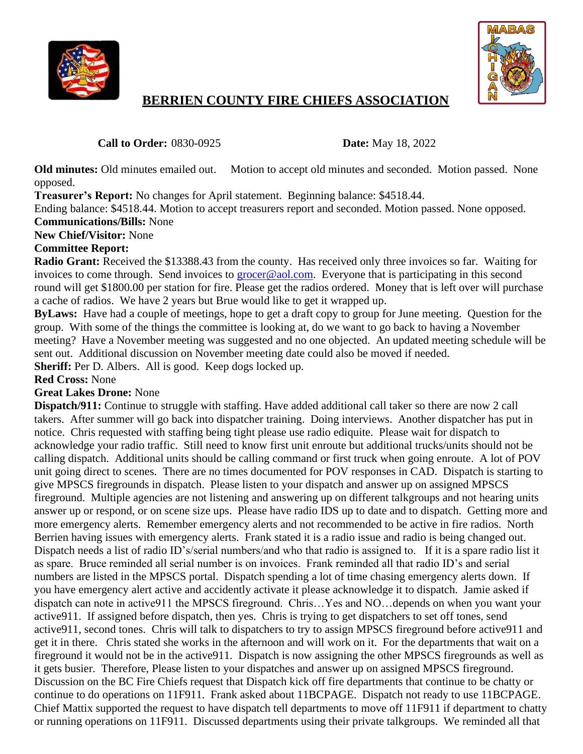



## **BERRIEN COUNTY FIRE CHIEFS ASSOCIATION**

 **Call to Order:** 0830-0925 **Date:** May 18, 2022

**Old minutes:** Old minutes emailed out. Motion to accept old minutes and seconded. Motion passed. None opposed.

**Treasurer's Report:** No changes for April statement. Beginning balance: \$4518.44.

Ending balance: \$4518.44. Motion to accept treasurers report and seconded. Motion passed. None opposed.

**Communications/Bills:** None

**New Chief/Visitor:** None

#### **Committee Report:**

**Radio Grant:** Received the \$13388.43 from the county. Has received only three invoices so far. Waiting for invoices to come through. Send invoices to [grocer@aol.com.](mailto:grocer@aol.com) Everyone that is participating in this second round will get \$1800.00 per station for fire. Please get the radios ordered. Money that is left over will purchase a cache of radios. We have 2 years but Brue would like to get it wrapped up.

**ByLaws:** Have had a couple of meetings, hope to get a draft copy to group for June meeting. Question for the group. With some of the things the committee is looking at, do we want to go back to having a November meeting? Have a November meeting was suggested and no one objected. An updated meeting schedule will be sent out. Additional discussion on November meeting date could also be moved if needed.

**Sheriff:** Per D. Albers. All is good. Keep dogs locked up.

**Red Cross:** None

#### **Great Lakes Drone:** None

**Dispatch/911:** Continue to struggle with staffing. Have added additional call taker so there are now 2 call takers. After summer will go back into dispatcher training. Doing interviews. Another dispatcher has put in notice. Chris requested with staffing being tight please use radio ediquite. Please wait for dispatch to acknowledge your radio traffic. Still need to know first unit enroute but additional trucks/units should not be calling dispatch. Additional units should be calling command or first truck when going enroute. A lot of POV unit going direct to scenes. There are no times documented for POV responses in CAD. Dispatch is starting to give MPSCS firegrounds in dispatch. Please listen to your dispatch and answer up on assigned MPSCS fireground. Multiple agencies are not listening and answering up on different talkgroups and not hearing units answer up or respond, or on scene size ups. Please have radio IDS up to date and to dispatch. Getting more and more emergency alerts. Remember emergency alerts and not recommended to be active in fire radios. North Berrien having issues with emergency alerts. Frank stated it is a radio issue and radio is being changed out. Dispatch needs a list of radio ID's/serial numbers/and who that radio is assigned to. If it is a spare radio list it as spare. Bruce reminded all serial number is on invoices. Frank reminded all that radio ID's and serial numbers are listed in the MPSCS portal. Dispatch spending a lot of time chasing emergency alerts down. If you have emergency alert active and accidently activate it please acknowledge it to dispatch. Jamie asked if dispatch can note in active911 the MPSCS fireground. Chris…Yes and NO…depends on when you want your active911. If assigned before dispatch, then yes. Chris is trying to get dispatchers to set off tones, send active911, second tones. Chris will talk to dispatchers to try to assign MPSCS fireground before active911 and get it in there. Chris stated she works in the afternoon and will work on it. For the departments that wait on a fireground it would not be in the active911. Dispatch is now assigning the other MPSCS firegrounds as well as it gets busier. Therefore, Please listen to your dispatches and answer up on assigned MPSCS fireground. Discussion on the BC Fire Chiefs request that Dispatch kick off fire departments that continue to be chatty or continue to do operations on 11F911. Frank asked about 11BCPAGE. Dispatch not ready to use 11BCPAGE. Chief Mattix supported the request to have dispatch tell departments to move off 11F911 if department to chatty or running operations on 11F911. Discussed departments using their private talkgroups. We reminded all that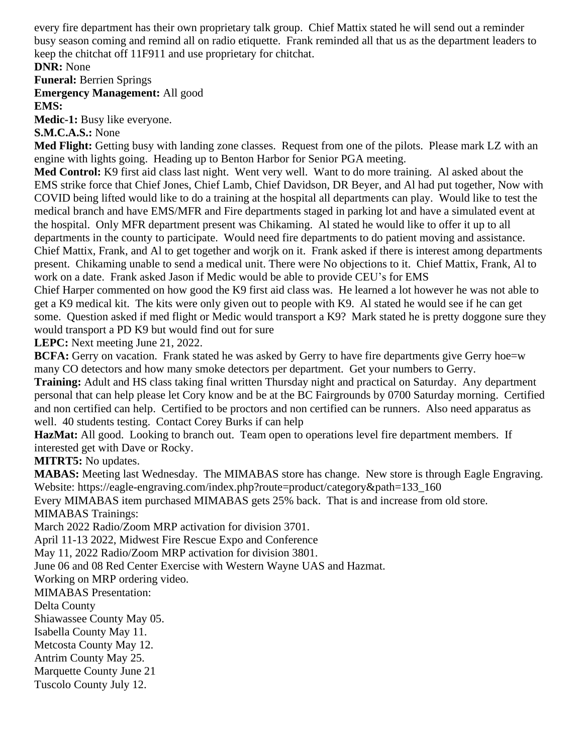every fire department has their own proprietary talk group. Chief Mattix stated he will send out a reminder busy season coming and remind all on radio etiquette. Frank reminded all that us as the department leaders to keep the chitchat off 11F911 and use proprietary for chitchat.

#### **DNR:** None

**Funeral:** Berrien Springs

#### **Emergency Management:** All good **EMS:**

**Medic-1:** Busy like everyone.

**S.M.C.A.S.:** None

**Med Flight:** Getting busy with landing zone classes. Request from one of the pilots. Please mark LZ with an engine with lights going. Heading up to Benton Harbor for Senior PGA meeting.

**Med Control:** K9 first aid class last night. Went very well. Want to do more training. Al asked about the EMS strike force that Chief Jones, Chief Lamb, Chief Davidson, DR Beyer, and Al had put together, Now with COVID being lifted would like to do a training at the hospital all departments can play. Would like to test the medical branch and have EMS/MFR and Fire departments staged in parking lot and have a simulated event at the hospital. Only MFR department present was Chikaming. Al stated he would like to offer it up to all departments in the county to participate. Would need fire departments to do patient moving and assistance. Chief Mattix, Frank, and Al to get together and worjk on it. Frank asked if there is interest among departments present. Chikaming unable to send a medical unit. There were No objections to it. Chief Mattix, Frank, Al to work on a date. Frank asked Jason if Medic would be able to provide CEU's for EMS

Chief Harper commented on how good the K9 first aid class was. He learned a lot however he was not able to get a K9 medical kit. The kits were only given out to people with K9. Al stated he would see if he can get some. Question asked if med flight or Medic would transport a K9? Mark stated he is pretty doggone sure they would transport a PD K9 but would find out for sure

**LEPC:** Next meeting June 21, 2022.

**BCFA:** Gerry on vacation. Frank stated he was asked by Gerry to have fire departments give Gerry hoe=w many CO detectors and how many smoke detectors per department. Get your numbers to Gerry.

**Training:** Adult and HS class taking final written Thursday night and practical on Saturday. Any department personal that can help please let Cory know and be at the BC Fairgrounds by 0700 Saturday morning. Certified and non certified can help. Certified to be proctors and non certified can be runners. Also need apparatus as well. 40 students testing. Contact Corey Burks if can help

**HazMat:** All good. Looking to branch out. Team open to operations level fire department members. If interested get with Dave or Rocky.

**MITRT5:** No updates.

**MABAS:** Meeting last Wednesday. The MIMABAS store has change. New store is through Eagle Engraving. Website: https://eagle-engraving.com/index.php?route=product/category&path=133\_160

Every MIMABAS item purchased MIMABAS gets 25% back. That is and increase from old store. MIMABAS Trainings:

March 2022 Radio/Zoom MRP activation for division 3701.

April 11-13 2022, Midwest Fire Rescue Expo and Conference

May 11, 2022 Radio/Zoom MRP activation for division 3801.

June 06 and 08 Red Center Exercise with Western Wayne UAS and Hazmat.

Working on MRP ordering video.

MIMABAS Presentation:

Delta County

Shiawassee County May 05.

Isabella County May 11.

Metcosta County May 12.

Antrim County May 25.

Marquette County June 21

Tuscolo County July 12.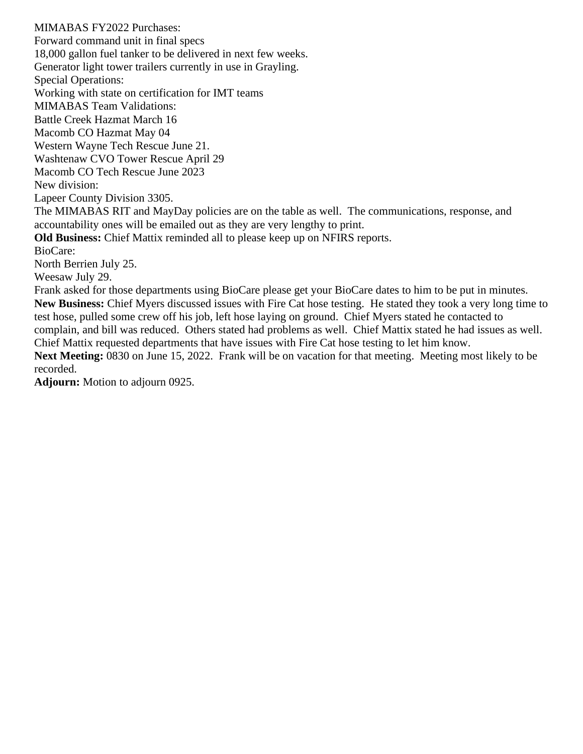MIMABAS FY2022 Purchases: Forward command unit in final specs 18,000 gallon fuel tanker to be delivered in next few weeks. Generator light tower trailers currently in use in Grayling. Special Operations: Working with state on certification for IMT teams MIMABAS Team Validations: Battle Creek Hazmat March 16 Macomb CO Hazmat May 04 Western Wayne Tech Rescue June 21. Washtenaw CVO Tower Rescue April 29 Macomb CO Tech Rescue June 2023 New division: Lapeer County Division 3305. The MIMABAS RIT and MayDay policies are on the table as well. The communications, response, and accountability ones will be emailed out as they are very lengthy to print. **Old Business:** Chief Mattix reminded all to please keep up on NFIRS reports. BioCare: North Berrien July 25. Weesaw July 29. Frank asked for those departments using BioCare please get your BioCare dates to him to be put in minutes. **New Business:** Chief Myers discussed issues with Fire Cat hose testing. He stated they took a very long time to test hose, pulled some crew off his job, left hose laying on ground. Chief Myers stated he contacted to complain, and bill was reduced. Others stated had problems as well. Chief Mattix stated he had issues as well. Chief Mattix requested departments that have issues with Fire Cat hose testing to let him know.

**Next Meeting:** 0830 on June 15, 2022. Frank will be on vacation for that meeting. Meeting most likely to be recorded.

**Adjourn:** Motion to adjourn 0925.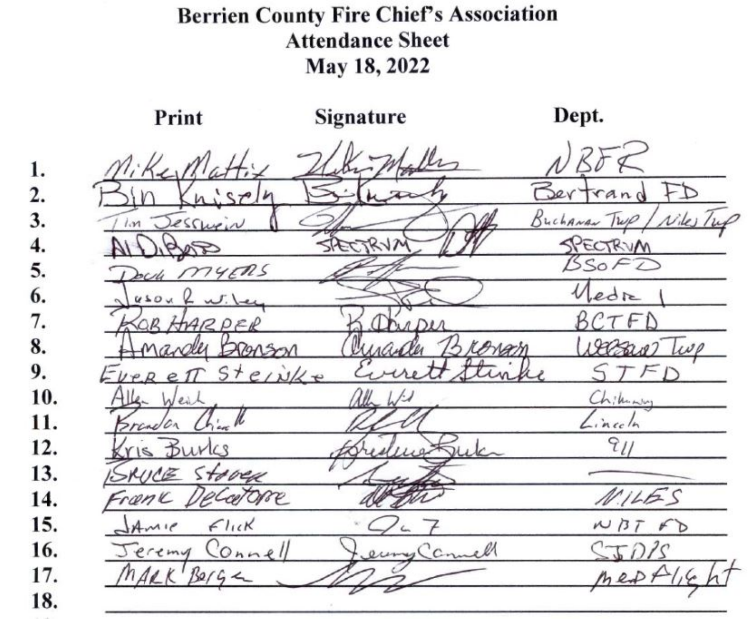# **Berrien County Fire Chief's Association Attendance Sheet** May 18, 2022

Print

Signature

Dept.

1.  $K_{d-1}$ 2. 3. BuchANAN essurin  $\iota$ m 4. ECTRVN  $SSoF2$ 5.  $74525$ edre 6.  $4020$ 7.  $77F$ HARPER  $ADU$ 8. ABASON 9.  $Sterikx$  $D$   $e$  $\tau$ 10. Chikensus Wei 11. incoln  $\overline{q}_U$ 12.  $511$  $15$ 13. Stavea  $\overline{\Lambda}/\overline{\mathcal{Z}}$  $N145S$ 14. **DRE**  $2nK$ 15.  $F$ lick  $NBT$  $Amre$  $F$ Connel 16. eremy Connel 17.  $herPr$ 18.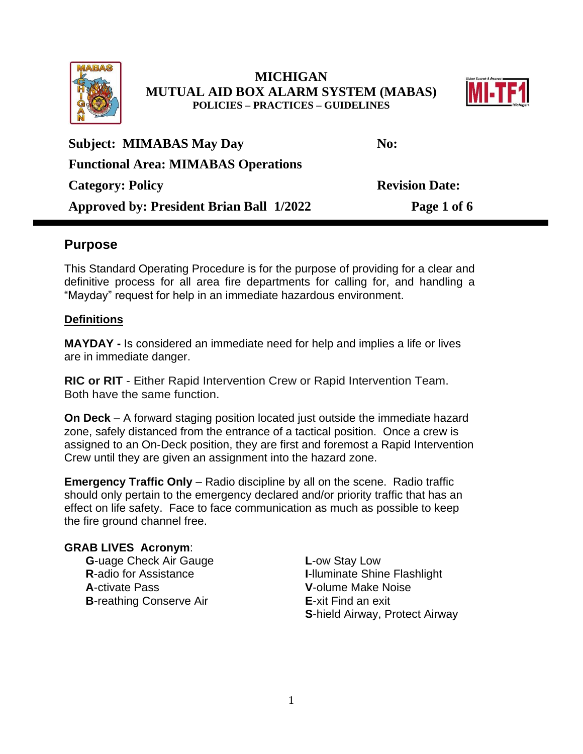

### **MICHIGAN MUTUAL AID BOX ALARM SYSTEM (MABAS) POLICIES – PRACTICES – GUIDELINES**



| <b>Subject: MIMABAS May Day</b>                 | No:                   |
|-------------------------------------------------|-----------------------|
| <b>Functional Area: MIMABAS Operations</b>      |                       |
| <b>Category: Policy</b>                         | <b>Revision Date:</b> |
| <b>Approved by: President Brian Ball 1/2022</b> | Page 1 of 6           |

#### **Purpose**

This Standard Operating Procedure is for the purpose of providing for a clear and definitive process for all area fire departments for calling for, and handling a "Mayday" request for help in an immediate hazardous environment.

#### **Definitions**

**MAYDAY -** Is considered an immediate need for help and implies a life or lives are in immediate danger.

**RIC or RIT** - Either Rapid Intervention Crew or Rapid Intervention Team. Both have the same function.

**On Deck** – A forward staging position located just outside the immediate hazard zone, safely distanced from the entrance of a tactical position. Once a crew is assigned to an On-Deck position, they are first and foremost a Rapid Intervention Crew until they are given an assignment into the hazard zone.

**Emergency Traffic Only** – Radio discipline by all on the scene. Radio traffic should only pertain to the emergency declared and/or priority traffic that has an effect on life safety. Face to face communication as much as possible to keep the fire ground channel free.

#### **GRAB LIVES Acronym**:

**G**-uage Check Air Gauge **L**-ow Stay Low **A**-ctivate Pass **V**-olume Make Noise **B**-reathing Conserve Air **E**-xit Find an exit

**R**-adio for Assistance **I**-lluminate Shine Flashlight **S**-hield Airway, Protect Airway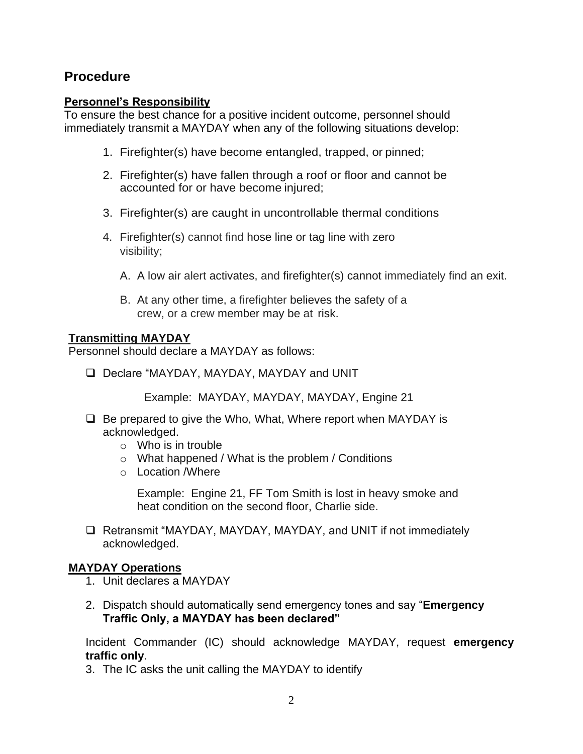# **Procedure**

#### **Personnel's Responsibility**

To ensure the best chance for a positive incident outcome, personnel should immediately transmit a MAYDAY when any of the following situations develop:

- 1. Firefighter(s) have become entangled, trapped, or pinned;
- 2. Firefighter(s) have fallen through a roof or floor and cannot be accounted for or have become injured;
- 3. Firefighter(s) are caught in uncontrollable thermal conditions
- 4. Firefighter(s) cannot find hose line or tag line with zero visibility;
	- A. A low air alert activates, and firefighter(s) cannot immediately find an exit.
	- B. At any other time, a firefighter believes the safety of a crew, or a crew member may be at risk.

#### **Transmitting MAYDAY**

Personnel should declare a MAYDAY as follows:

❑ Declare "MAYDAY, MAYDAY, MAYDAY and UNIT

Example: MAYDAY, MAYDAY, MAYDAY, Engine 21

- ❑ Be prepared to give the Who, What, Where report when MAYDAY is acknowledged.
	- $\circ$  Who is in trouble
	- o What happened / What is the problem / Conditions
	- o Location /Where

Example: Engine 21, FF Tom Smith is lost in heavy smoke and heat condition on the second floor, Charlie side.

❑ Retransmit "MAYDAY, MAYDAY, MAYDAY, and UNIT if not immediately acknowledged.

#### **MAYDAY Operations**

- 1. Unit declares a MAYDAY
- 2. Dispatch should automatically send emergency tones and say "**Emergency Traffic Only, a MAYDAY has been declared"**

Incident Commander (IC) should acknowledge MAYDAY, request **emergency traffic only**.

3. The IC asks the unit calling the MAYDAY to identify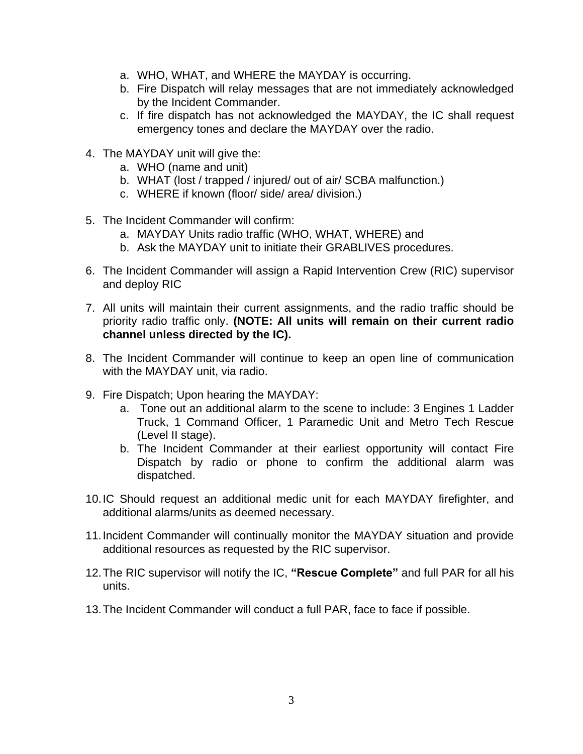- a. WHO, WHAT, and WHERE the MAYDAY is occurring.
- b. Fire Dispatch will relay messages that are not immediately acknowledged by the Incident Commander.
- c. If fire dispatch has not acknowledged the MAYDAY, the IC shall request emergency tones and declare the MAYDAY over the radio.
- 4. The MAYDAY unit will give the:
	- a. WHO (name and unit)
	- b. WHAT (lost / trapped / injured/ out of air/ SCBA malfunction.)
	- c. WHERE if known (floor/ side/ area/ division.)
- 5. The Incident Commander will confirm:
	- a. MAYDAY Units radio traffic (WHO, WHAT, WHERE) and
	- b. Ask the MAYDAY unit to initiate their GRABLIVES procedures.
- 6. The Incident Commander will assign a Rapid Intervention Crew (RIC) supervisor and deploy RIC
- 7. All units will maintain their current assignments, and the radio traffic should be priority radio traffic only. **(NOTE: All units will remain on their current radio channel unless directed by the IC).**
- 8. The Incident Commander will continue to keep an open line of communication with the MAYDAY unit, via radio.
- 9. Fire Dispatch; Upon hearing the MAYDAY:
	- a. Tone out an additional alarm to the scene to include: 3 Engines 1 Ladder Truck, 1 Command Officer, 1 Paramedic Unit and Metro Tech Rescue (Level II stage).
	- b. The Incident Commander at their earliest opportunity will contact Fire Dispatch by radio or phone to confirm the additional alarm was dispatched.
- 10.IC Should request an additional medic unit for each MAYDAY firefighter, and additional alarms/units as deemed necessary.
- 11.Incident Commander will continually monitor the MAYDAY situation and provide additional resources as requested by the RIC supervisor.
- 12.The RIC supervisor will notify the IC, **"Rescue Complete"** and full PAR for all his units.
- 13.The Incident Commander will conduct a full PAR, face to face if possible.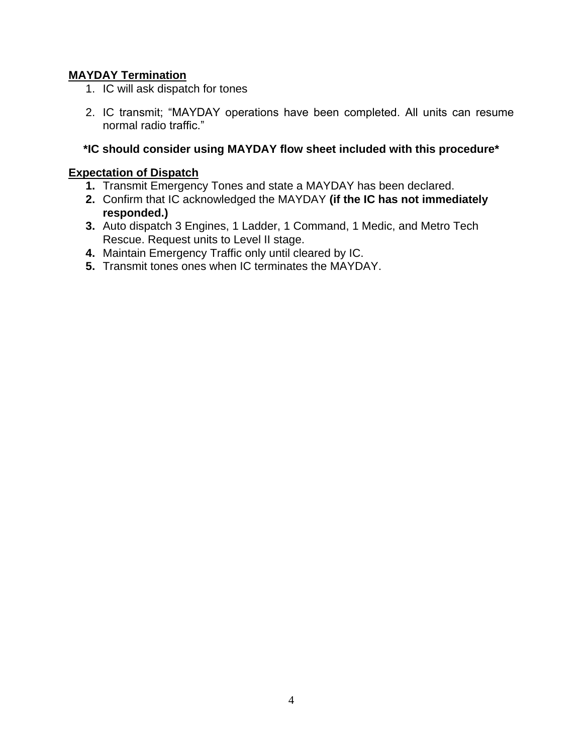#### **MAYDAY Termination**

- 1. IC will ask dispatch for tones
- 2. IC transmit; "MAYDAY operations have been completed. All units can resume normal radio traffic."

#### **\*IC should consider using MAYDAY flow sheet included with this procedure\***

#### **Expectation of Dispatch**

- **1.** Transmit Emergency Tones and state a MAYDAY has been declared.
- **2.** Confirm that IC acknowledged the MAYDAY **(if the IC has not immediately responded.)**
- **3.** Auto dispatch 3 Engines, 1 Ladder, 1 Command, 1 Medic, and Metro Tech Rescue. Request units to Level II stage.
- **4.** Maintain Emergency Traffic only until cleared by IC.
- **5.** Transmit tones ones when IC terminates the MAYDAY.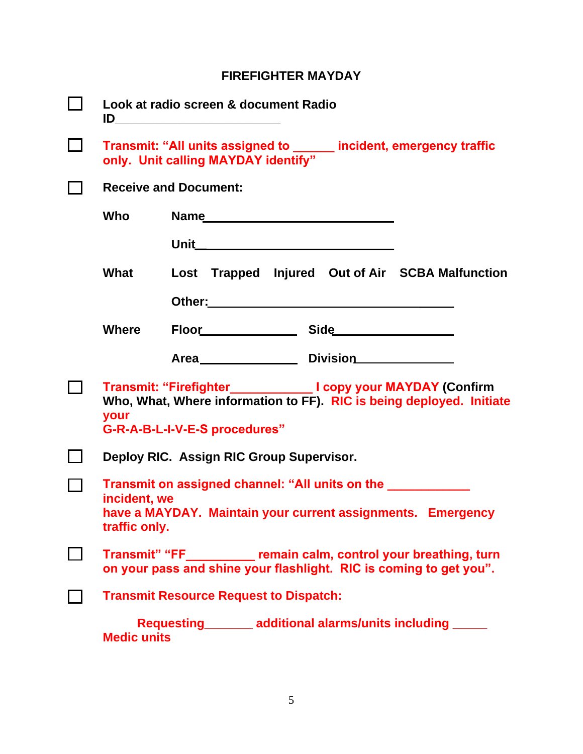# **FIREFIGHTER MAYDAY**

| Look at radio screen & document Radio<br><u>ID___________________________</u>                                                                                                    |                                                            |  |  |
|----------------------------------------------------------------------------------------------------------------------------------------------------------------------------------|------------------------------------------------------------|--|--|
| Transmit: "All units assigned to ______ incident, emergency traffic<br>only. Unit calling MAYDAY identify"                                                                       |                                                            |  |  |
| <b>Receive and Document:</b>                                                                                                                                                     |                                                            |  |  |
| Who                                                                                                                                                                              |                                                            |  |  |
|                                                                                                                                                                                  | <u>Unit___________________________________</u>             |  |  |
| What                                                                                                                                                                             | Lost Trapped Injured Out of Air SCBA Malfunction           |  |  |
|                                                                                                                                                                                  |                                                            |  |  |
| <b>Where</b>                                                                                                                                                                     | Floor Side Side                                            |  |  |
|                                                                                                                                                                                  |                                                            |  |  |
| Transmit: "Firefighter______________I copy your MAYDAY (Confirm<br>Who, What, Where information to FF). RIC is being deployed. Initiate<br>your<br>G-R-A-B-L-I-V-E-S procedures" |                                                            |  |  |
| Deploy RIC. Assign RIC Group Supervisor.                                                                                                                                         |                                                            |  |  |
| Transmit on assigned channel: "All units on the ____________<br>incident, we<br>have a MAYDAY. Maintain your current assignments. Emergency<br>traffic only.                     |                                                            |  |  |
| Transmit" "FF_____________ remain calm, control your breathing, turn<br>on your pass and shine your flashlight. RIC is coming to get you".                                       |                                                            |  |  |
| <b>Transmit Resource Request to Dispatch:</b>                                                                                                                                    |                                                            |  |  |
| <b>Medic units</b>                                                                                                                                                               | Requesting _______ additional alarms/units including _____ |  |  |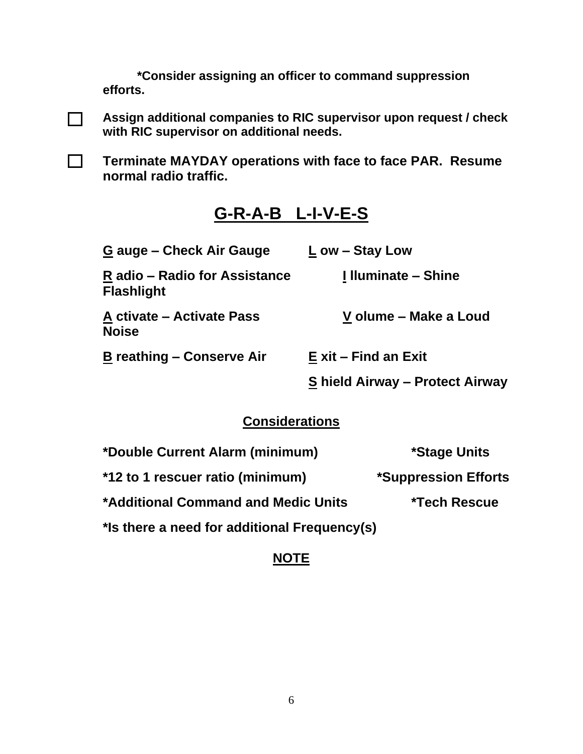\*Consider assigning an officer to command suppression efforts.



П

Assign additional companies to RIC supervisor upon request / check with RIC supervisor on additional needs.

Terminate MAYDAY operations with face to face PAR. Resume normal radio traffic.

# G-R-A-B L-I-V-E-S

| G auge – Check Air Gauge                           | L ow – Stay Low                 |
|----------------------------------------------------|---------------------------------|
| R adio – Radio for Assistance<br><b>Flashlight</b> | I Iluminate – Shine             |
| A ctivate - Activate Pass<br><b>Noise</b>          | V olume – Make a Loud           |
| <b>B</b> reathing – Conserve Air                   | E xit – Find an Exit            |
|                                                    | S hield Airway - Protect Airway |

# **Considerations**

| *Double Current Alarm (minimum)              | *Stage Units         |
|----------------------------------------------|----------------------|
| *12 to 1 rescuer ratio (minimum)             | *Suppression Efforts |
| *Additional Command and Medic Units          | <b>*Tech Rescue</b>  |
| *Is there a need for additional Frequency(s) |                      |

# **NOTE**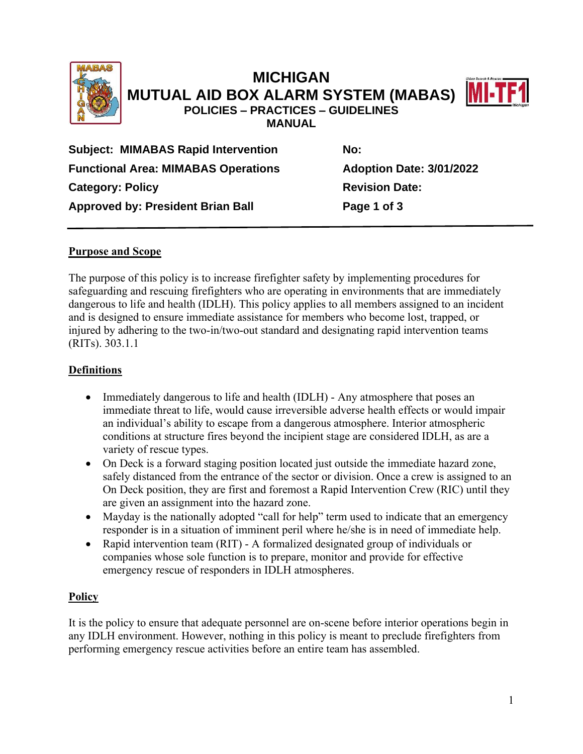

# **MICHIGAN MUTUAL AID BOX ALARM SYSTEM (MABAS) POLICIES – PRACTICES – GUIDELINES MANUAL**



**Subject: MIMABAS Rapid Intervention No: Functional Area: MIMABAS Operations Adoption Date: 3/01/2022 Category: Policy Category: Policy Revision Date: Approved by: President Brian Ball Page 1 of 3**

#### **Purpose and Scope**

The purpose of this policy is to increase firefighter safety by implementing procedures for safeguarding and rescuing firefighters who are operating in environments that are immediately dangerous to life and health (IDLH). This policy applies to all members assigned to an incident and is designed to ensure immediate assistance for members who become lost, trapped, or injured by adhering to the two-in/two-out standard and designating rapid intervention teams (RITs). 303.1.1

#### **Definitions**

- Immediately dangerous to life and health (IDLH) Any atmosphere that poses an immediate threat to life, would cause irreversible adverse health effects or would impair an individual's ability to escape from a dangerous atmosphere. Interior atmospheric conditions at structure fires beyond the incipient stage are considered IDLH, as are a variety of rescue types.
- On Deck is a forward staging position located just outside the immediate hazard zone, safely distanced from the entrance of the sector or division. Once a crew is assigned to an On Deck position, they are first and foremost a Rapid Intervention Crew (RIC) until they are given an assignment into the hazard zone.
- Mayday is the nationally adopted "call for help" term used to indicate that an emergency responder is in a situation of imminent peril where he/she is in need of immediate help.
- Rapid intervention team (RIT) A formalized designated group of individuals or companies whose sole function is to prepare, monitor and provide for effective emergency rescue of responders in IDLH atmospheres.

#### **Policy**

It is the policy to ensure that adequate personnel are on-scene before interior operations begin in any IDLH environment. However, nothing in this policy is meant to preclude firefighters from performing emergency rescue activities before an entire team has assembled.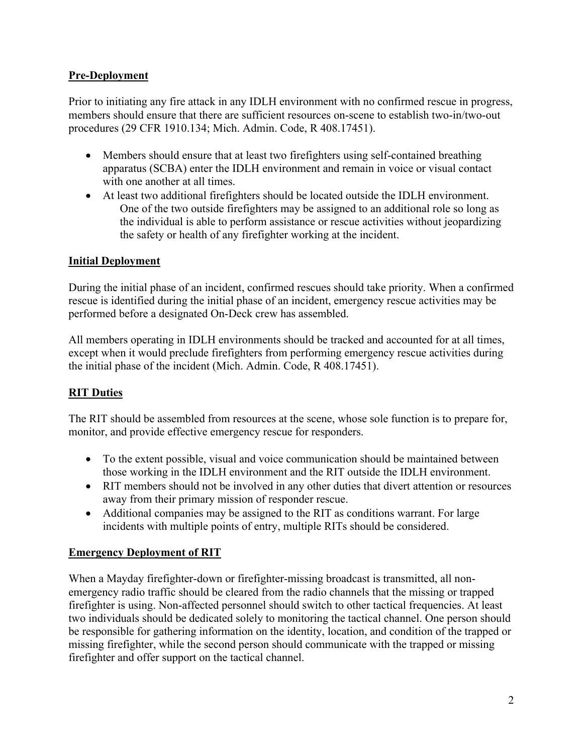#### **Pre-Deployment**

Prior to initiating any fire attack in any IDLH environment with no confirmed rescue in progress, members should ensure that there are sufficient resources on-scene to establish two-in/two-out procedures (29 CFR 1910.134; Mich. Admin. Code, R 408.17451).

- Members should ensure that at least two firefighters using self-contained breathing apparatus (SCBA) enter the IDLH environment and remain in voice or visual contact with one another at all times.
- At least two additional firefighters should be located outside the IDLH environment. One of the two outside firefighters may be assigned to an additional role so long as the individual is able to perform assistance or rescue activities without jeopardizing the safety or health of any firefighter working at the incident.

#### **Initial Deployment**

During the initial phase of an incident, confirmed rescues should take priority. When a confirmed rescue is identified during the initial phase of an incident, emergency rescue activities may be performed before a designated On-Deck crew has assembled.

All members operating in IDLH environments should be tracked and accounted for at all times, except when it would preclude firefighters from performing emergency rescue activities during the initial phase of the incident (Mich. Admin. Code, R 408.17451).

#### **RIT Duties**

The RIT should be assembled from resources at the scene, whose sole function is to prepare for, monitor, and provide effective emergency rescue for responders.

- To the extent possible, visual and voice communication should be maintained between those working in the IDLH environment and the RIT outside the IDLH environment.
- RIT members should not be involved in any other duties that divert attention or resources away from their primary mission of responder rescue.
- Additional companies may be assigned to the RIT as conditions warrant. For large incidents with multiple points of entry, multiple RITs should be considered.

#### **Emergency Deployment of RIT**

When a Mayday firefighter-down or firefighter-missing broadcast is transmitted, all nonemergency radio traffic should be cleared from the radio channels that the missing or trapped firefighter is using. Non-affected personnel should switch to other tactical frequencies. At least two individuals should be dedicated solely to monitoring the tactical channel. One person should be responsible for gathering information on the identity, location, and condition of the trapped or missing firefighter, while the second person should communicate with the trapped or missing firefighter and offer support on the tactical channel.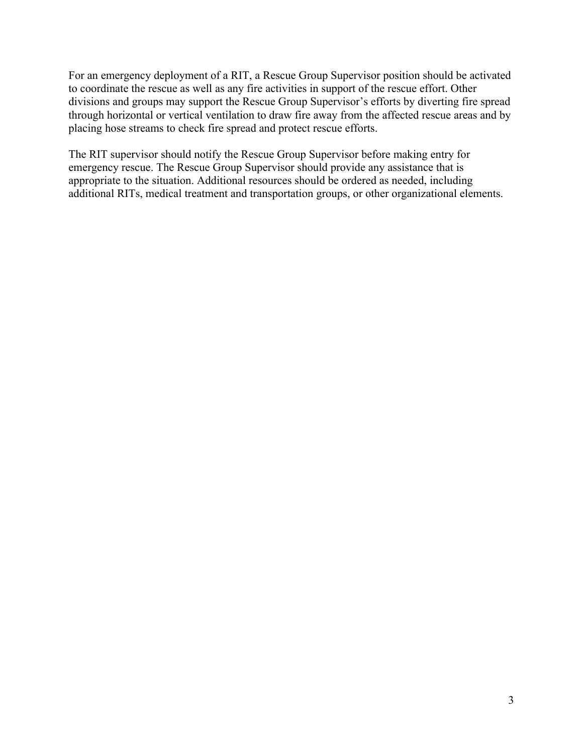For an emergency deployment of a RIT, a Rescue Group Supervisor position should be activated to coordinate the rescue as well as any fire activities in support of the rescue effort. Other divisions and groups may support the Rescue Group Supervisor's efforts by diverting fire spread through horizontal or vertical ventilation to draw fire away from the affected rescue areas and by placing hose streams to check fire spread and protect rescue efforts.

The RIT supervisor should notify the Rescue Group Supervisor before making entry for emergency rescue. The Rescue Group Supervisor should provide any assistance that is appropriate to the situation. Additional resources should be ordered as needed, including additional RITs, medical treatment and transportation groups, or other organizational elements.